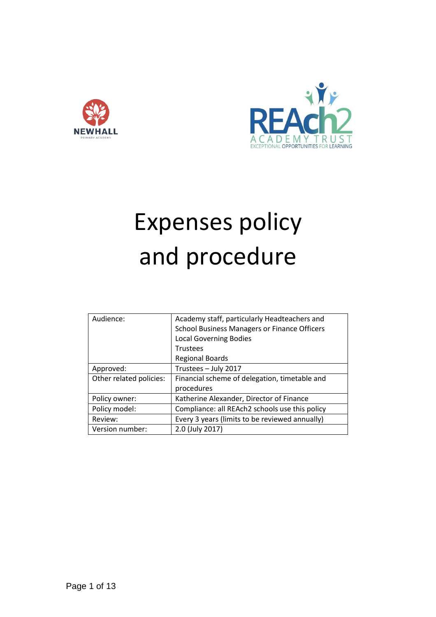



# Expenses policy and procedure

| Audience:               | Academy staff, particularly Headteachers and        |
|-------------------------|-----------------------------------------------------|
|                         | <b>School Business Managers or Finance Officers</b> |
|                         | <b>Local Governing Bodies</b>                       |
|                         | <b>Trustees</b>                                     |
|                         | <b>Regional Boards</b>                              |
| Approved:               | Trustees - July 2017                                |
| Other related policies: | Financial scheme of delegation, timetable and       |
|                         | procedures                                          |
| Policy owner:           | Katherine Alexander, Director of Finance            |
| Policy model:           | Compliance: all REAch2 schools use this policy      |
| Review:                 | Every 3 years (limits to be reviewed annually)      |
| Version number:         | 2.0 (July 2017)                                     |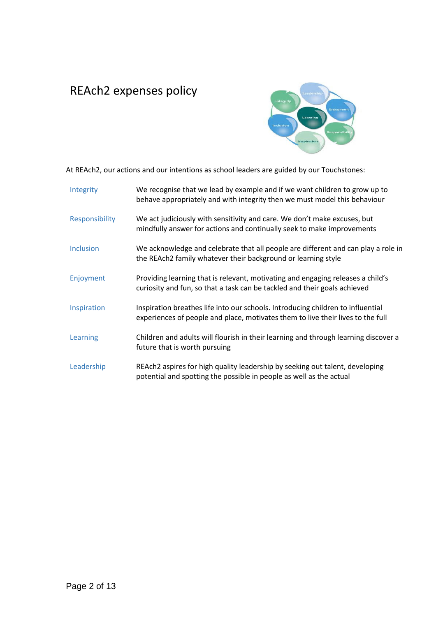# REAch2 expenses policy



At REAch2, our actions and our intentions as school leaders are guided by our Touchstones:

| Integrity      | We recognise that we lead by example and if we want children to grow up to<br>behave appropriately and with integrity then we must model this behaviour            |
|----------------|--------------------------------------------------------------------------------------------------------------------------------------------------------------------|
| Responsibility | We act judiciously with sensitivity and care. We don't make excuses, but<br>mindfully answer for actions and continually seek to make improvements                 |
| Inclusion      | We acknowledge and celebrate that all people are different and can play a role in<br>the REAch2 family whatever their background or learning style                 |
| Enjoyment      | Providing learning that is relevant, motivating and engaging releases a child's<br>curiosity and fun, so that a task can be tackled and their goals achieved       |
| Inspiration    | Inspiration breathes life into our schools. Introducing children to influential<br>experiences of people and place, motivates them to live their lives to the full |
| Learning       | Children and adults will flourish in their learning and through learning discover a<br>future that is worth pursuing                                               |
| Leadership     | REAch2 aspires for high quality leadership by seeking out talent, developing<br>potential and spotting the possible in people as well as the actual                |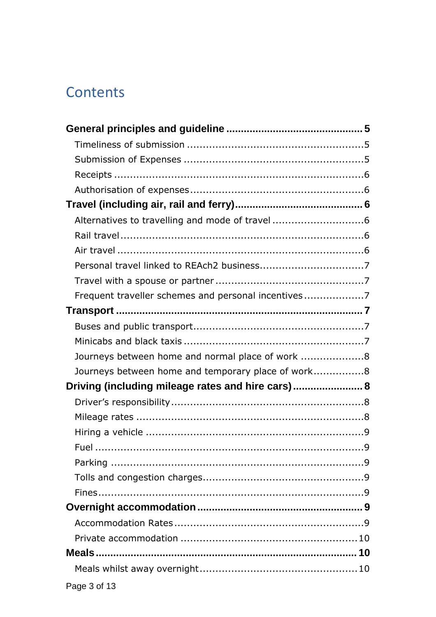# Contents

| Alternatives to travelling and mode of travel 6     |  |
|-----------------------------------------------------|--|
|                                                     |  |
|                                                     |  |
|                                                     |  |
|                                                     |  |
| Frequent traveller schemes and personal incentives7 |  |
|                                                     |  |
|                                                     |  |
|                                                     |  |
| Journeys between home and normal place of work 8    |  |
| Journeys between home and temporary place of work8  |  |
| Driving (including mileage rates and hire cars) 8   |  |
|                                                     |  |
|                                                     |  |
|                                                     |  |
|                                                     |  |
|                                                     |  |
|                                                     |  |
|                                                     |  |
|                                                     |  |
|                                                     |  |
|                                                     |  |
|                                                     |  |
|                                                     |  |
| Page 3 of 13                                        |  |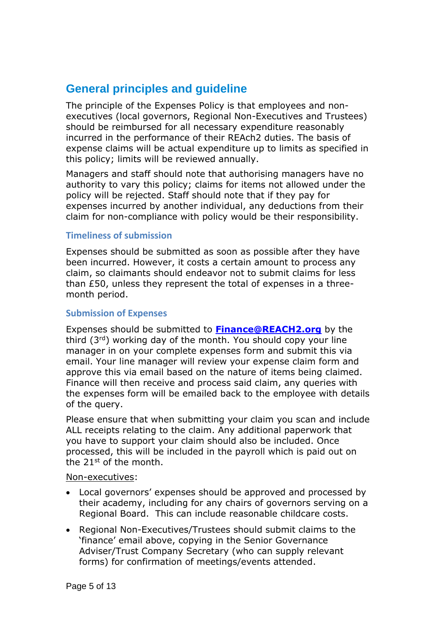# <span id="page-4-0"></span>**General principles and guideline**

The principle of the Expenses Policy is that employees and nonexecutives (local governors, Regional Non-Executives and Trustees) should be reimbursed for all necessary expenditure reasonably incurred in the performance of their REAch2 duties. The basis of expense claims will be actual expenditure up to limits as specified in this policy; limits will be reviewed annually.

Managers and staff should note that authorising managers have no authority to vary this policy; claims for items not allowed under the policy will be rejected. Staff should note that if they pay for expenses incurred by another individual, any deductions from their claim for non-compliance with policy would be their responsibility.

#### <span id="page-4-1"></span>**Timeliness of submission**

Expenses should be submitted as soon as possible after they have been incurred. However, it costs a certain amount to process any claim, so claimants should endeavor not to submit claims for less than £50, unless they represent the total of expenses in a threemonth period.

#### <span id="page-4-2"></span>**Submission of Expenses**

Expenses should be submitted to **[Finance@REACH2.org](mailto:Finance@REACH2.org)** by the third (3rd) working day of the month. You should copy your line manager in on your complete expenses form and submit this via email. Your line manager will review your expense claim form and approve this via email based on the nature of items being claimed. Finance will then receive and process said claim, any queries with the expenses form will be emailed back to the employee with details of the query.

Please ensure that when submitting your claim you scan and include ALL receipts relating to the claim. Any additional paperwork that you have to support your claim should also be included. Once processed, this will be included in the payroll which is paid out on the 21st of the month.

#### Non-executives:

- Local governors' expenses should be approved and processed by their academy, including for any chairs of governors serving on a Regional Board. This can include reasonable childcare costs.
- Regional Non-Executives/Trustees should submit claims to the 'finance' email above, copying in the Senior Governance Adviser/Trust Company Secretary (who can supply relevant forms) for confirmation of meetings/events attended.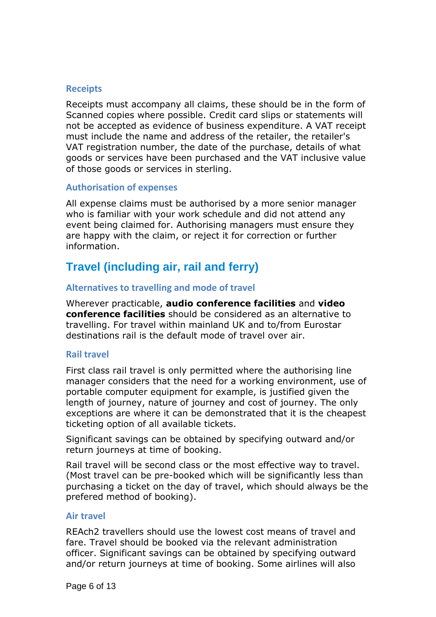#### <span id="page-5-0"></span>**Receipts**

Receipts must accompany all claims, these should be in the form of Scanned copies where possible. Credit card slips or statements will not be accepted as evidence of business expenditure. A VAT receipt must include the name and address of the retailer, the retailer's VAT registration number, the date of the purchase, details of what goods or services have been purchased and the VAT inclusive value of those goods or services in sterling.

#### <span id="page-5-1"></span>**Authorisation of expenses**

All expense claims must be authorised by a more senior manager who is familiar with your work schedule and did not attend any event being claimed for. Authorising managers must ensure they are happy with the claim, or reject it for correction or further information.

# <span id="page-5-2"></span>**Travel (including air, rail and ferry)**

#### <span id="page-5-3"></span>**Alternatives to travelling and mode of travel**

Wherever practicable, **audio conference facilities** and **video conference facilities** should be considered as an alternative to travelling. For travel within mainland UK and to/from Eurostar destinations rail is the default mode of travel over air.

#### <span id="page-5-4"></span>**Rail travel**

First class rail travel is only permitted where the authorising line manager considers that the need for a working environment, use of portable computer equipment for example, is justified given the length of journey, nature of journey and cost of journey. The only exceptions are where it can be demonstrated that it is the cheapest ticketing option of all available tickets.

Significant savings can be obtained by specifying outward and/or return journeys at time of booking.

Rail travel will be second class or the most effective way to travel. (Most travel can be pre-booked which will be significantly less than purchasing a ticket on the day of travel, which should always be the prefered method of booking).

#### <span id="page-5-5"></span>**Air travel**

REAch2 travellers should use the lowest cost means of travel and fare. Travel should be booked via the relevant administration officer. Significant savings can be obtained by specifying outward and/or return journeys at time of booking. Some airlines will also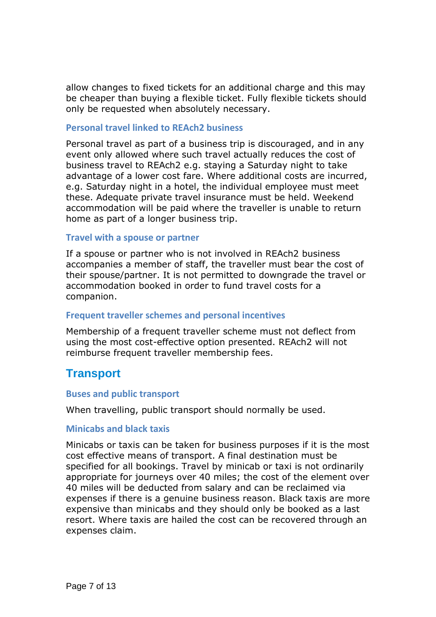allow changes to fixed tickets for an additional charge and this may be cheaper than buying a flexible ticket. Fully flexible tickets should only be requested when absolutely necessary.

#### <span id="page-6-0"></span>**Personal travel linked to REAch2 business**

Personal travel as part of a business trip is discouraged, and in any event only allowed where such travel actually reduces the cost of business travel to REAch2 e.g. staying a Saturday night to take advantage of a lower cost fare. Where additional costs are incurred, e.g. Saturday night in a hotel, the individual employee must meet these. Adequate private travel insurance must be held. Weekend accommodation will be paid where the traveller is unable to return home as part of a longer business trip.

#### <span id="page-6-1"></span>**Travel with a spouse or partner**

If a spouse or partner who is not involved in REAch2 business accompanies a member of staff, the traveller must bear the cost of their spouse/partner. It is not permitted to downgrade the travel or accommodation booked in order to fund travel costs for a companion.

#### <span id="page-6-2"></span>**Frequent traveller schemes and personal incentives**

Membership of a frequent traveller scheme must not deflect from using the most cost-effective option presented. REAch2 will not reimburse frequent traveller membership fees.

#### <span id="page-6-3"></span>**Transport**

#### <span id="page-6-4"></span>**Buses and public transport**

When travelling, public transport should normally be used.

#### <span id="page-6-5"></span>**Minicabs and black taxis**

Minicabs or taxis can be taken for business purposes if it is the most cost effective means of transport. A final destination must be specified for all bookings. Travel by minicab or taxi is not ordinarily appropriate for journeys over 40 miles; the cost of the element over 40 miles will be deducted from salary and can be reclaimed via expenses if there is a genuine business reason. Black taxis are more expensive than minicabs and they should only be booked as a last resort. Where taxis are hailed the cost can be recovered through an expenses claim.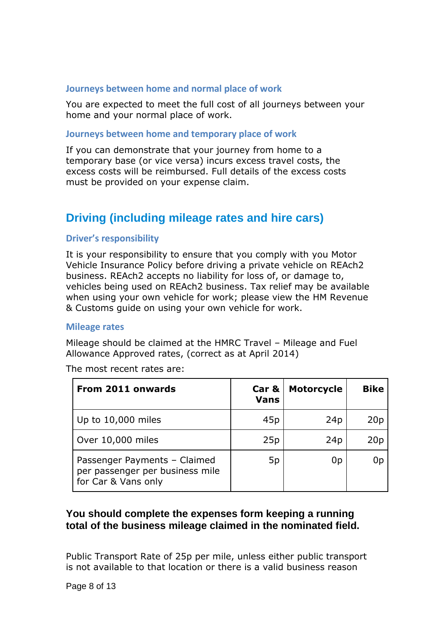#### <span id="page-7-0"></span>**Journeys between home and normal place of work**

You are expected to meet the full cost of all journeys between your home and your normal place of work.

#### <span id="page-7-1"></span>**Journeys between home and temporary place of work**

If you can demonstrate that your journey from home to a temporary base (or vice versa) incurs excess travel costs, the excess costs will be reimbursed. Full details of the excess costs must be provided on your expense claim.

### <span id="page-7-2"></span>**Driving (including mileage rates and hire cars)**

#### <span id="page-7-3"></span>**Driver's responsibility**

It is your responsibility to ensure that you comply with you Motor Vehicle Insurance Policy before driving a private vehicle on REAch2 business. REAch2 accepts no liability for loss of, or damage to, vehicles being used on REAch2 business. Tax relief may be available when using your own vehicle for work; please view the HM Revenue & Customs guide on using your own vehicle for work.

#### <span id="page-7-4"></span>**Mileage rates**

Mileage should be claimed at the HMRC Travel – Mileage and Fuel Allowance Approved rates, (correct as at April 2014)

**From 2011 onwards Car & Vans Motorcycle Bike** Up to 10,000 miles  $\begin{array}{|c|c|c|c|c|c|} \hline \end{array}$  45p  $\begin{array}{|c|c|c|c|c|} \hline \end{array}$  24p  $\begin{array}{|c|c|c|c|c|} \hline \end{array}$ Over 10,000 miles 25p 25p 24p 20p Passenger Payments – Claimed 5p 0p 0p

The most recent rates are:

for Car & Vans only

per passenger per business mile

#### **You should complete the expenses form keeping a running total of the business mileage claimed in the nominated field.**

Public Transport Rate of 25p per mile, unless either public transport is not available to that location or there is a valid business reason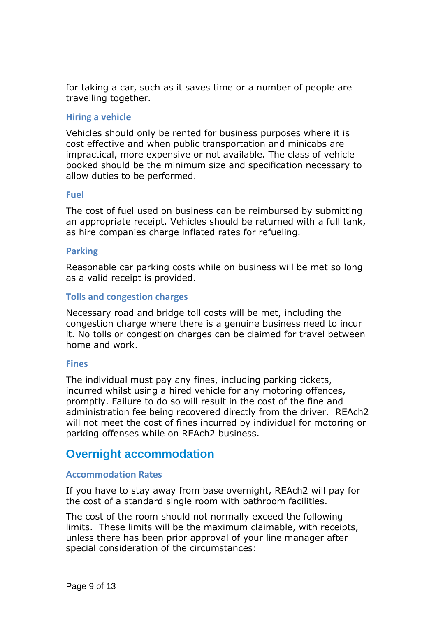for taking a car, such as it saves time or a number of people are travelling together.

#### <span id="page-8-0"></span>**Hiring a vehicle**

Vehicles should only be rented for business purposes where it is cost effective and when public transportation and minicabs are impractical, more expensive or not available. The class of vehicle booked should be the minimum size and specification necessary to allow duties to be performed.

#### <span id="page-8-1"></span>**Fuel**

The cost of fuel used on business can be reimbursed by submitting an appropriate receipt. Vehicles should be returned with a full tank, as hire companies charge inflated rates for refueling.

#### <span id="page-8-2"></span>**Parking**

Reasonable car parking costs while on business will be met so long as a valid receipt is provided.

#### <span id="page-8-3"></span>**Tolls and congestion charges**

Necessary road and bridge toll costs will be met, including the congestion charge where there is a genuine business need to incur it. No tolls or congestion charges can be claimed for travel between home and work.

#### <span id="page-8-4"></span>**Fines**

The individual must pay any fines, including parking tickets, incurred whilst using a hired vehicle for any motoring offences, promptly. Failure to do so will result in the cost of the fine and administration fee being recovered directly from the driver. REAch2 will not meet the cost of fines incurred by individual for motoring or parking offenses while on REAch2 business.

# <span id="page-8-5"></span>**Overnight accommodation**

#### <span id="page-8-6"></span>**Accommodation Rates**

If you have to stay away from base overnight, REAch2 will pay for the cost of a standard single room with bathroom facilities.

The cost of the room should not normally exceed the following limits. These limits will be the maximum claimable, with receipts, unless there has been prior approval of your line manager after special consideration of the circumstances: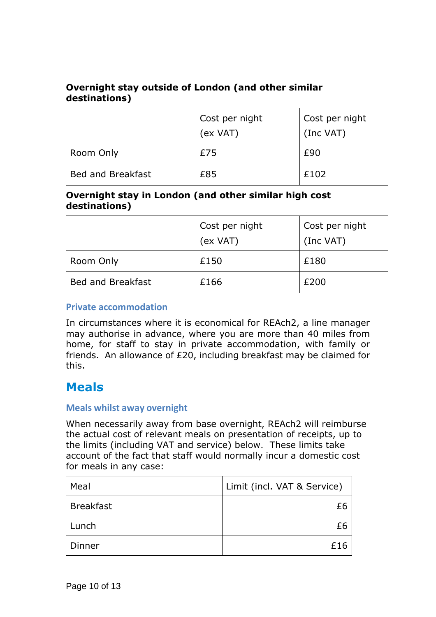#### **Overnight stay outside of London (and other similar destinations)**

|                          | Cost per night<br>(ex VAT) | Cost per night<br>(Inc VAT) |
|--------------------------|----------------------------|-----------------------------|
| Room Only                | £75                        | £90                         |
| <b>Bed and Breakfast</b> | £85                        | £102                        |

#### **Overnight stay in London (and other similar high cost destinations)**

|                          | Cost per night<br>(ex VAT) | Cost per night<br>(Inc VAT) |
|--------------------------|----------------------------|-----------------------------|
| Room Only                | £150                       | £180                        |
| <b>Bed and Breakfast</b> | £166                       | £200                        |

#### <span id="page-9-0"></span>**Private accommodation**

In circumstances where it is economical for REAch2, a line manager may authorise in advance, where you are more than 40 miles from home, for staff to stay in private accommodation, with family or friends. An allowance of £20, including breakfast may be claimed for this.

# <span id="page-9-1"></span>**Meals**

#### <span id="page-9-2"></span>**Meals whilst away overnight**

When necessarily away from base overnight, REAch2 will reimburse the actual cost of relevant meals on presentation of receipts, up to the limits (including VAT and service) below. These limits take account of the fact that staff would normally incur a domestic cost for meals in any case:

| Meal             | Limit (incl. VAT & Service) |
|------------------|-----------------------------|
| <b>Breakfast</b> | £6                          |
| Lunch            | £б                          |
| Dinner           | £16                         |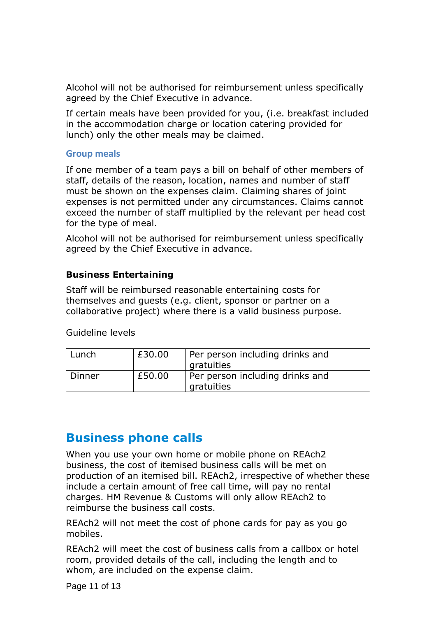Alcohol will not be authorised for reimbursement unless specifically agreed by the Chief Executive in advance.

If certain meals have been provided for you, (i.e. breakfast included in the accommodation charge or location catering provided for lunch) only the other meals may be claimed.

#### <span id="page-10-0"></span>**Group meals**

If one member of a team pays a bill on behalf of other members of staff, details of the reason, location, names and number of staff must be shown on the expenses claim. Claiming shares of joint expenses is not permitted under any circumstances. Claims cannot exceed the number of staff multiplied by the relevant per head cost for the type of meal.

Alcohol will not be authorised for reimbursement unless specifically agreed by the Chief Executive in advance.

#### **Business Entertaining**

Staff will be reimbursed reasonable entertaining costs for themselves and guests (e.g. client, sponsor or partner on a collaborative project) where there is a valid business purpose.

Guideline levels

| Lunch    | £30.00 | Per person including drinks and               |
|----------|--------|-----------------------------------------------|
|          |        | gratuities                                    |
| l Dinner | £50.00 | Per person including drinks and<br>gratuities |

# <span id="page-10-1"></span>**Business phone calls**

When you use your own home or mobile phone on REAch2 business, the cost of itemised business calls will be met on production of an itemised bill. REAch2, irrespective of whether these include a certain amount of free call time, will pay no rental charges. HM Revenue & Customs will only allow REAch2 to reimburse the business call costs.

REAch2 will not meet the cost of phone cards for pay as you go mobiles.

REAch2 will meet the cost of business calls from a callbox or hotel room, provided details of the call, including the length and to whom, are included on the expense claim.

Page 11 of 13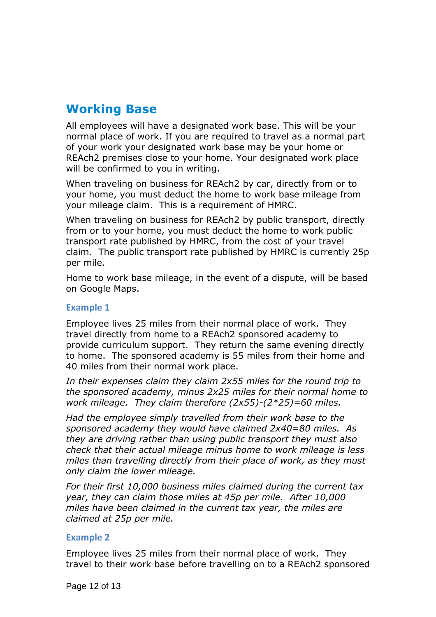# <span id="page-11-0"></span>**Working Base**

All employees will have a designated work base. This will be your normal place of work. If you are required to travel as a normal part of your work your designated work base may be your home or REAch2 premises close to your home. Your designated work place will be confirmed to you in writing.

When traveling on business for REAch2 by car, directly from or to your home, you must deduct the home to work base mileage from your mileage claim. This is a requirement of HMRC.

When traveling on business for REAch2 by public transport, directly from or to your home, you must deduct the home to work public transport rate published by HMRC, from the cost of your travel claim. The public transport rate published by HMRC is currently 25p per mile.

Home to work base mileage, in the event of a dispute, will be based on Google Maps.

#### <span id="page-11-1"></span>**Example 1**

Employee lives 25 miles from their normal place of work. They travel directly from home to a REAch2 sponsored academy to provide curriculum support. They return the same evening directly to home. The sponsored academy is 55 miles from their home and 40 miles from their normal work place.

*In their expenses claim they claim 2x55 miles for the round trip to the sponsored academy, minus 2x25 miles for their normal home to work mileage. They claim therefore (2x55)-(2\*25)=60 miles.*

*Had the employee simply travelled from their work base to the sponsored academy they would have claimed 2x40=80 miles. As they are driving rather than using public transport they must also check that their actual mileage minus home to work mileage is less miles than travelling directly from their place of work, as they must only claim the lower mileage.*

*For their first 10,000 business miles claimed during the current tax year, they can claim those miles at 45p per mile. After 10,000 miles have been claimed in the current tax year, the miles are claimed at 25p per mile.*

#### <span id="page-11-2"></span>**Example 2**

Employee lives 25 miles from their normal place of work. They travel to their work base before travelling on to a REAch2 sponsored